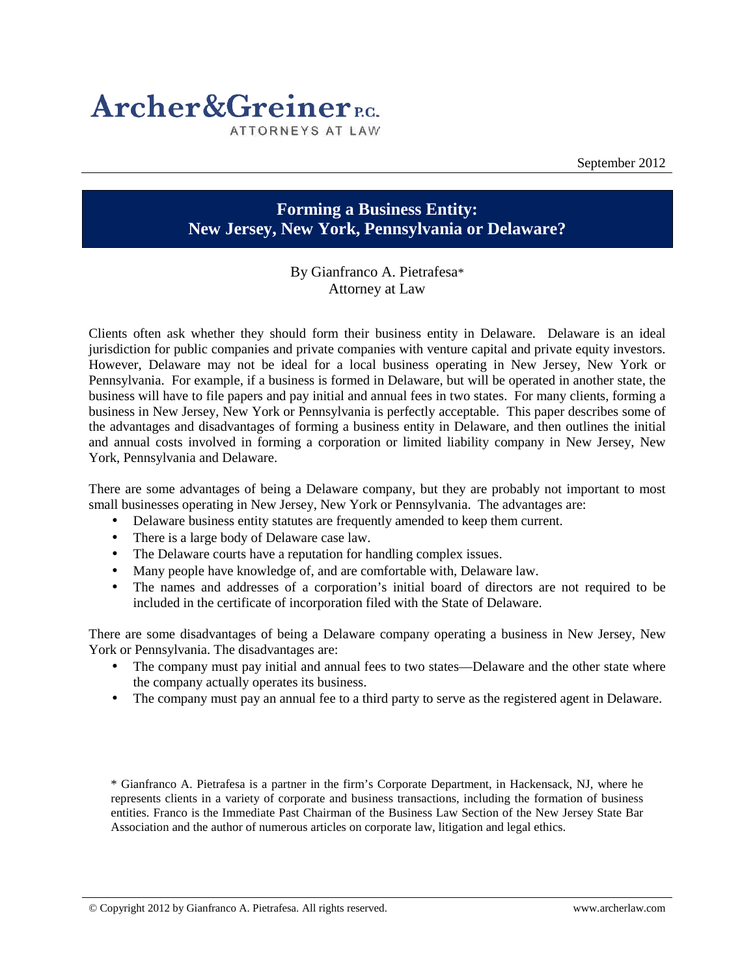

September 2012

## **Forming a Business Entity: New Jersey, New York, Pennsylvania or Delaware?**

## By Gianfranco A. Pietrafesa\* Attorney at Law

Clients often ask whether they should form their business entity in Delaware. Delaware is an ideal jurisdiction for public companies and private companies with venture capital and private equity investors. However, Delaware may not be ideal for a local business operating in New Jersey, New York or Pennsylvania. For example, if a business is formed in Delaware, but will be operated in another state, the business will have to file papers and pay initial and annual fees in two states. For many clients, forming a business in New Jersey, New York or Pennsylvania is perfectly acceptable. This paper describes some of the advantages and disadvantages of forming a business entity in Delaware, and then outlines the initial and annual costs involved in forming a corporation or limited liability company in New Jersey, New York, Pennsylvania and Delaware.

There are some advantages of being a Delaware company, but they are probably not important to most small businesses operating in New Jersey, New York or Pennsylvania. The advantages are:

- Delaware business entity statutes are frequently amended to keep them current.
- There is a large body of Delaware case law.
- The Delaware courts have a reputation for handling complex issues.
- Many people have knowledge of, and are comfortable with, Delaware law.
- The names and addresses of a corporation's initial board of directors are not required to be included in the certificate of incorporation filed with the State of Delaware.

There are some disadvantages of being a Delaware company operating a business in New Jersey, New York or Pennsylvania. The disadvantages are:

- The company must pay initial and annual fees to two states—Delaware and the other state where the company actually operates its business.
- The company must pay an annual fee to a third party to serve as the registered agent in Delaware.

\* Gianfranco A. Pietrafesa is a partner in the firm's Corporate Department, in Hackensack, NJ, where he represents clients in a variety of corporate and business transactions, including the formation of business entities. Franco is the Immediate Past Chairman of the Business Law Section of the New Jersey State Bar Association and the author of numerous articles on corporate law, litigation and legal ethics.